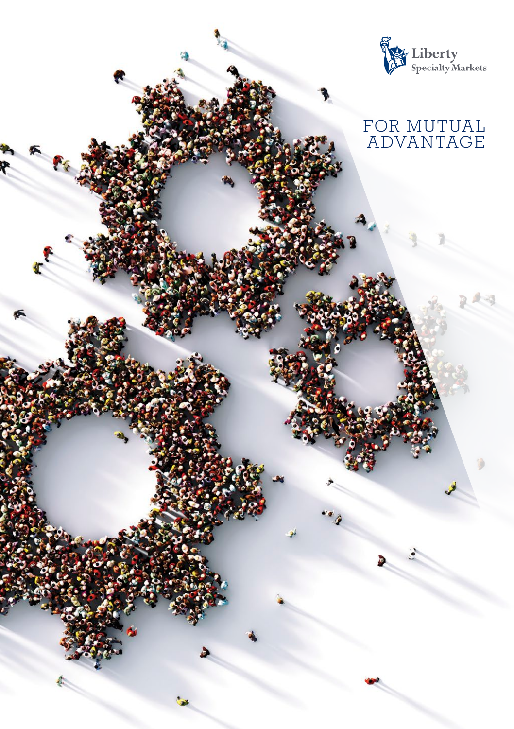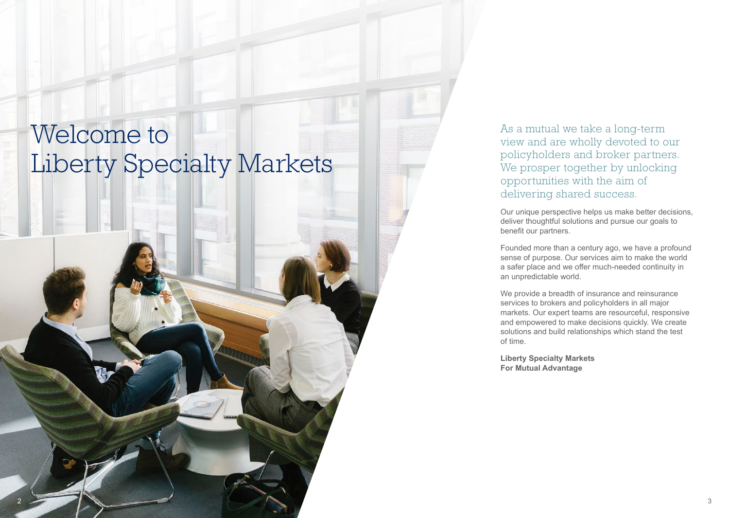# Welcome to Liberty Specialty Markets

As a mutual we take a long-term view and are wholly devoted to our policyholders and broker partners. We prosper together by unlocking opportunities with the aim of delivering shared success.

Our unique perspective helps us make better decisions, deliver thoughtful solutions and pursue our goals to benefit our partners.

Founded more than a century ago, we have a profound sense of purpose. Our services aim to make the world a safer place and we offer much-needed continuity in an unpredictable world.

We provide a breadth of insurance and reinsurance services to brokers and policyholders in all major markets. Our expert teams are resourceful, responsive and empowered to make decisions quickly. We create solutions and build relationships which stand the test of time.

**Liberty Specialty Markets For Mutual Advantage**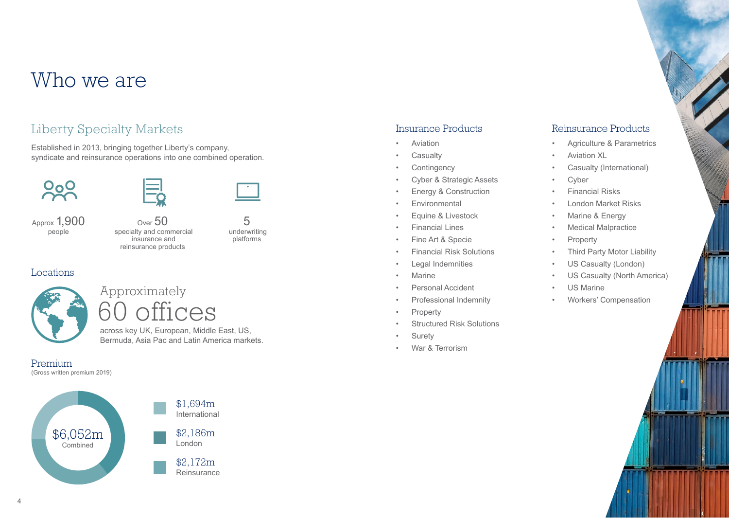# Who we are

### Liberty Specialty Markets

Established in 2013, bringing together Liberty's company, syndicate and reinsurance operations into one combined operation.



Approx 1,900 people



#### Locations

Approximately 60 offices

across key UK, European, Middle East, US, Bermuda, Asia Pac and Latin America markets.

Premium (Gross written premium 2019)





5 underwriting platforms

#### Insurance Products

- **Aviation**
- **Casualty**
- **Contingency**
- Cyber & Strategic Assets
- Energy & Construction
- **Fnvironmental**
- Equine & Livestock
- Financial Lines
- Fine Art & Specie
- Financial Risk Solutions
- Legal Indemnities
- Marine
- Personal Accident
- Professional Indemnity
- **Property**
- Structured Risk Solutions
- **Surety**
- War & Terrorism

### Reinsurance Products

- Agriculture & Parametrics
- Aviation XL
- Casualty (International)
- **Cyber**
- Financial Risks
- London Market Risks
- Marine & Energy
- **Medical Malpractice**
- **Property**
- **Third Party Motor Liability**
- US Casualty (London)
- US Casualty (North America)
- US Marine
- Workers' Compensation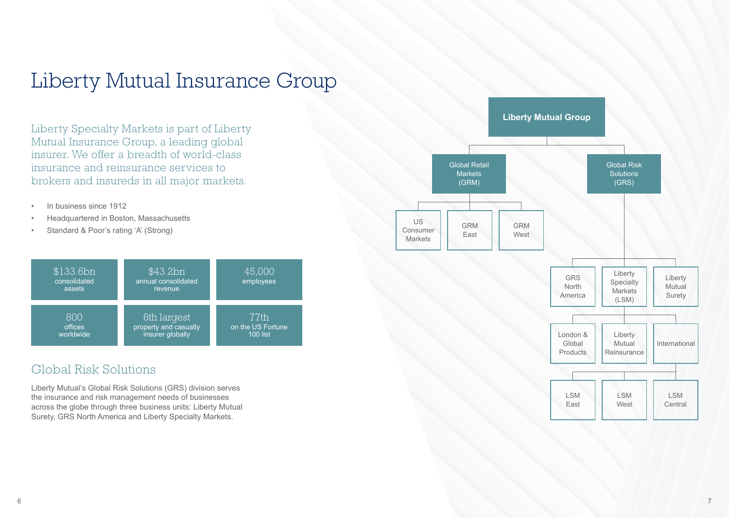# Liberty Mutual Insurance Group

Liberty Specialty Markets is part of Liberty Mutual Insurance Group, a leading global insurer. We offer a breadth of world-class insurance and reinsurance services to brokers and insureds in all major markets.

- In business since 1912
- Headquartered in Boston, Massachusetts
- Standard & Poor's rating 'A' (Strong)



### Global Risk Solutions

Liberty Mutual's Global Risk Solutions (GRS) division serves the insurance and risk management needs of businesses across the globe through three business units: Liberty Mutual Surety, GRS North America and Liberty Specialty Markets.

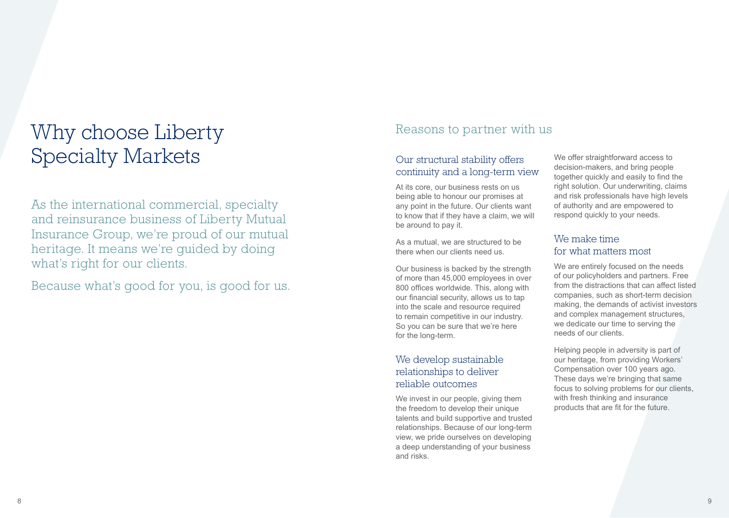# Why choose Liberty Specialty Markets

As the international commercial, specialty and reinsurance business of Liberty Mutual Insurance Group, we're proud of our mutual heritage. It means we're guided by doing what's right for our clients.

Because what's good for you, is good for us.

### Reasons to partner with us

#### Our structural stability offers continuity and a long-term view

At its core, our business rests on us being able to honour our promises at any point in the future. Our clients want to know that if they have a claim, we will be around to pay it.

As a mutual, we are structured to be there when our clients need us.

Our business is backed by the strength of more than 45,000 employees in over 800 offices worldwide. This, along with our financial security, allows us to tap into the scale and resource required to remain competitive in our industry. So you can be sure that we're here for the long-term.

### We develop sustainable relationships to deliver reliable outcomes

We invest in our people, giving them the freedom to develop their unique talents and build supportive and trusted relationships. Because of our long-term view, we pride ourselves on developing a deep understanding of your business and risks.

We offer straightforward access to decision-makers, and bring people together quickly and easily to find the right solution. Our underwriting, claims and risk professionals have high levels of authority and are empowered to respond quickly to your needs.

#### We make time for what matters most

We are entirely focused on the needs of our policyholders and partners. Free from the distractions that can affect listed companies, such as short-term decision making, the demands of activist investors and complex management structures, we dedicate our time to serving the needs of our clients.

Helping people in adversity is part of our heritage, from providing Workers' Compensation over 100 years ago. These days we're bringing that same focus to solving problems for our clients, with fresh thinking and insurance products that are fit for the future.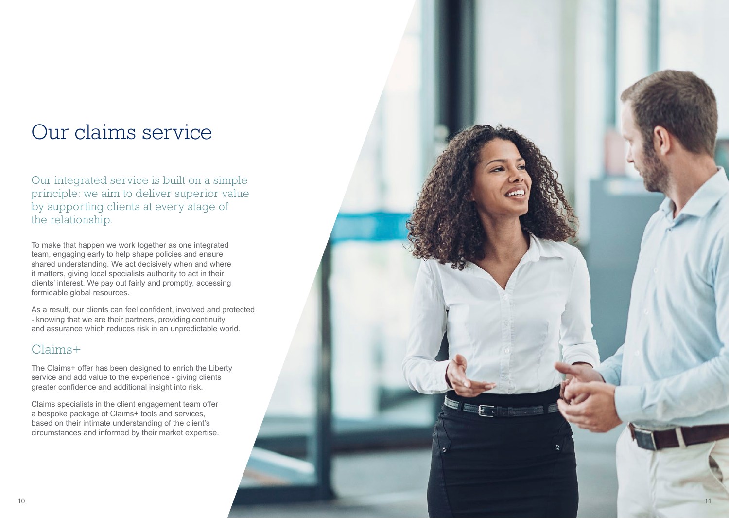## Our claims service

Our integrated service is built on a simple principle: we aim to deliver superior value by supporting clients at every stage of the relationship.

To make that happen we work together as one integrated team, engaging early to help shape policies and ensure shared understanding. We act decisively when and where it matters, giving local specialists authority to act in their clients' interest. We pay out fairly and promptly, accessing formidable global resources.

As a result, our clients can feel confident, involved and protected - knowing that we are their partners, providing continuity and assurance which reduces risk in an unpredictable world.

### Claims+

The Claims+ offer has been designed to enrich the Liberty service and add value to the experience - giving clients greater confidence and additional insight into risk.

Claims specialists in the client engagement team offer a bespoke package of Claims+ tools and services, based on their intimate understanding of the client's circumstances and informed by their market expertise.